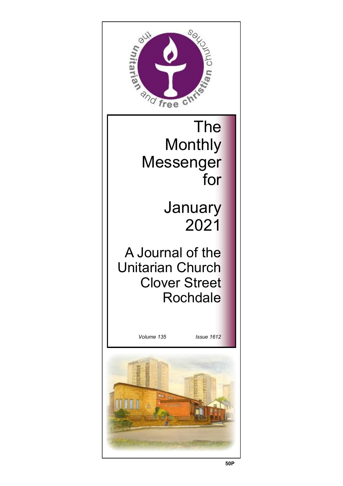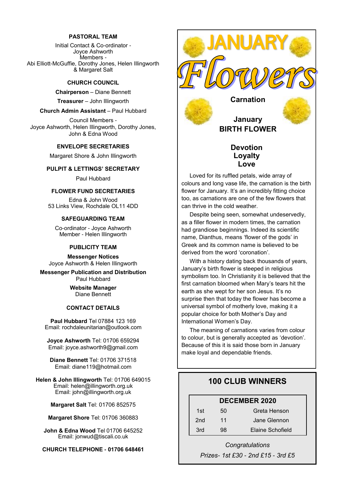#### **PASTORAL TEAM**

Initial Contact & Co-ordinator - Joyce Ashworth Members - Abi Elliott-McGuffie, Dorothy Jones, Helen Illingworth & Margaret Salt

#### **CHURCH COUNCIL**

**Chairperson** – Diane Bennett

**Treasurer** – John Illingworth

#### **Church Admin Assistant** – Paul Hubbard

Council Members - Joyce Ashworth, Helen Illingworth, Dorothy Jones, John & Edna Wood

#### **ENVELOPE SECRETARIES**

Margaret Shore & John Illingworth

#### **PULPIT & LETTINGS' SECRETARY**

Paul Hubbard

#### **FLOWER FUND SECRETARIES**

Edna & John Wood 53 Links View, Rochdale OL11 4DD

#### **SAFEGUARDING TEAM**

Co-ordinator - Joyce Ashworth Member - Helen Illingworth

#### **PUBLICITY TEAM**

**Messenger Notices** Joyce Ashworth & Helen Illingworth

**Messenger Publication and Distribution** Paul Hubbard

> **Website Manager**  Diane Bennett

#### **CONTACT DETAILS**

**Paul Hubbard** Tel 07884 123 169 Email: rochdaleunitarian@outlook.com

**Joyce Ashworth** Tel: 01706 659294 Email: joyce.ashworth9@gmail.com

**Diane Bennett** Tel: 01706 371518 Email: diane119@hotmail.com

**Helen & John Illingworth** Tel: 01706 649015 Email: helen@illingworth.org.uk Email: john@illingworth.org.uk

**Margaret Salt** Tel: 01706 852575

**Margaret Shore** Tel: 01706 360883

**John & Edna Wood** Tel 01706 645252 Email: jonwud@tiscali.co.uk

**CHURCH TELEPHONE - 01706 648461**



## **January BIRTH FLOWER**

## **Devotion Loyalty Love**

Loved for its ruffled petals, wide array of colours and long vase life, the carnation is the birth flower for January. It's an incredibly fitting choice too, as carnations are one of the few flowers that can thrive in the cold weather.

Despite being seen, somewhat undeservedly, as a filler flower in modern times, the carnation had grandiose beginnings. Indeed its scientific name, Dianthus, means 'flower of the gods' in Greek and its common name is believed to be derived from the word 'coronation'.

With a history dating back thousands of years, January's birth flower is steeped in religious symbolism too. In Christianity it is believed that the first carnation bloomed when Mary's tears hit the earth as she wept for her son Jesus. It's no surprise then that today the flower has become a universal symbol of motherly love, making it a popular choice for both Mother's Day and International Women's Day.

The meaning of carnations varies from colour to colour, but is generally accepted as 'devotion'. Because of this it is said those born in January make loyal and dependable friends.

## **100 CLUB WINNERS**

## **DECEMBER 2020**

| 1st | 50 | Greta Henson     |
|-----|----|------------------|
| 2nd | 11 | Jane Glennon     |
| 3rd | 98 | Elaine Schofield |

*Congratulations Prizes- 1st £30 - 2nd £15 - 3rd £5*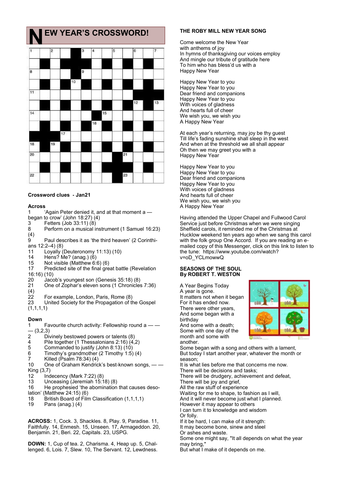## **EW YEAR'S CROSSWORD!**



#### **Crossword clues - Jan21**

#### **Across**

1 'Again Peter denied it, and at that moment a —

- began to crow' (John 18:27)  $(4)$
- 3 Fetters (Job 33:11) (8)
- 8 Perform on a musical instrument (1 Samuel 16:23)  $^{(4)}_{9}$
- Paul describes it as 'the third heaven' (2 Corinthians 12:2–4) (8)
- 11 Loyally (Deuteronomy 11:13) (10)

14 Hens? Me? (anag.) (6)<br>15 Not visible (Matthew 6

- 15 Not visible (Matthew 6:6) (6)
- Predicted site of the final great battle (Revelation 16:16) (10)
- 20 Jacob's youngest son (Genesis 35:18) (8)<br>21 One of Zophar's eleven sons (1 Chronicles
- One of Zophar's eleven sons (1 Chronicles 7:36)
- 
- $\binom{4}{2}$ 22 For example, London, Paris, Rome (8)<br>23 United Society for the Propagation of the

United Society for the Propagation of the Gospel  $(1,1,1,1)$ 

#### **Down**

- 1 Favourite church activity: Fellowship round a — — (3,2,3)<br>2 Di
- Divinely bestowed powers or talents (8)
- 4 Pile together (1 Thessalonians 2:16) (4,2)<br>5 Commanded to justify (John 8:13) (10)
- 5 Commanded to justify (John 8:13) (10)
- 6 Timothy's grandmother (2 Timothy 1:5) (4)
- 7 Killed (Psalm 78:34) (4)
- 10 One of Graham Kendrick's best-known songs,  $-\frac{1}{2}$ King (3,7)<br>12 Inc
- Indecency (Mark 7:22) (8)
- 13 Unceasing (Jeremiah 15:18) (8)<br>16 He prophesied 'the abomination
- He prophesied 'the abomination that causes desolation' (Matthew 24:15) (6)
- 18 British Board of Film Classification (1,1,1,1)
- 19 Pans (anag.) (4)

**ACROSS:** 1, Cock. 3, Shackles. 8, Play. 9, Paradise. 11, Faithfully. 14, Enmesh. 15, Unseen. 17, Armageddon. 20, Benjamin. 21, Beri. 22, Capitals. 23, USPG.

**DOWN:** 1, Cup of tea. 2, Charisma. 4, Heap up. 5, Challenged. 6, Lois. 7, Slew. 10, The Servant. 12, Lewdness.

#### **THE ROBY MILL NEW YEAR SONG**

Come welcome the New Year with anthems of joy In hymns of thanksgiving our voices employ And mingle our tribute of gratitude here To him who has bless'd us with a Happy New Year

Happy New Year to you Happy New Year to you Dear friend and companions Happy New Year to you With voices of gladness And hearts full of cheer We wish you, we wish you A Happy New Year

At each year's returning, may joy be thy guest Till life's fading sunshine shall sleep in the west And when at the threshold we all shall appear Oh then we may greet you with a Happy New Year

Happy New Year to you Happy New Year to you Dear friend and companions Happy New Year to you With voices of gladness And hearts full of cheer We wish you, we wish you A Happy New Year

Having attended the Upper Chapel and Fullwood Carol Service just before Christmas when we were singing Sheffield carols, it reminded me of the Christmas at Hucklow weekend ten years ago when we sang this carol with the folk group One Accord. If you are reading an emailed copy of this Messenger, click on this link to listen to the tune: https://www.youtube.com/watch? v=oD\_YCLmowwQ

#### **SEASONS OF THE SOUL By ROBERT T. WESTON**

A Year Begins Today

A year is gone. It matters not when it began For it has ended now. There were other years, And some began with a birthday And some with a death; Some with one day of the month and some with another.



Some began with a song and others with a lament, But today I start another year, whatever the month or season;

It is what lies before me that concerns me now. There will be decisions and tasks; There will be drudgery, achievement and defeat, There will be joy and grief, All the raw stuff of experience Waiting for me to shape, to fashion as I will, And it will never become just what I planned. However it may appear to others I can turn it to knowledge and wisdom Or folly. If it be hard, I can make of it strength: It may become bone, sinew and steel Or ashes and waste. Some one might say, "It all depends on what the year may bring," But what I make of it depends on me.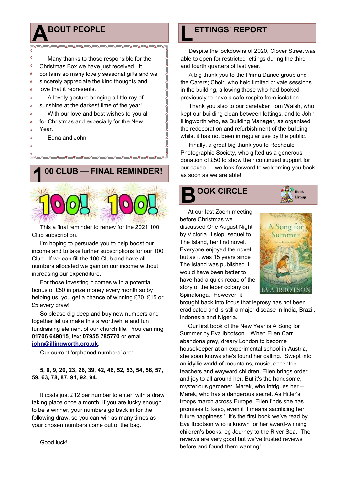# **A BOUT PEOPLE**

Many thanks to those responsible for the Christmas Box we have just received. It contains so many lovely seasonal gifts and we sincerely appreciate the kind thoughts and love that it represents.

A lovely gesture bringing a little ray of sunshine at the darkest time of the year!

With our love and best wishes to you all for Christmas and especially for the New Year.

Edna and John



This a final reminder to renew for the 2021 100 Club subscription.

I'm hoping to persuade you to help boost our income and to take further subscriptions for our 100 Club. If we can fill the 100 Club and have all numbers allocated we gain on our income without increasing our expenditure.

For those investing it comes with a potential bonus of £50 in prize money every month so by helping us, you get a chance of winning £30, £15 or £5 every draw!

So please dig deep and buy new numbers and together let us make this a worthwhile and fun fundraising element of our church life. You can ring **01706 649015**, text **07955 785770** or email **[john@illingworth.org.uk](mailto:john@illingworth.org.uk)**.

Our current 'orphaned numbers' are:

**5, 6, 9, 20, 23, 26, 39, 42, 46, 52, 53, 54, 56, 57, 59, 63, 78, 87, 91, 92, 94.**

It costs just £12 per number to enter, with a draw taking place once a month. If you are lucky enough to be a winner, your numbers go back in for the following draw, so you can win as many times as your chosen numbers come out of the bag.

# **L ETTINGS' REPORT**

Despite the lockdowns of 2020, Clover Street was able to open for restricted lettings during the third and fourth quarters of last year.

A big thank you to the Prima Dance group and the Carers; Choir, who held limited private sessions in the building, allowing those who had booked previously to have a safe respite from isolation.

Thank you also to our caretaker Tom Walsh, who kept our building clean between lettings, and to John Illingworth who, as Building Manager, as organised the redecoration and refurbishment of the building whilst it has not been in regular use by the public.

Finally, a great big thank you to Rochdale Photographic Society, who gifted us a generous donation of £50 to show their continued support for our cause — we look forward to welcoming you back as soon as we are able!

# **B OOK CIRCLE**

At our last Zoom meeting

discussed One August Night by Victoria Hislop, sequel to The Island, her first novel. Everyone enjoyed the novel but as it was 15 years since The Island was published it

before Christmas we



**O** Book Group

would have been better to have had a quick recap of the story of the leper colony on Spinalonga. However, it brought back into focus that leprosy has not been

eradicated and is still a major disease in India, Brazil, Indonesia and Nigeria.

Our first book of the New Year is A Song for Summer by Eva Ibbotson. 'When Ellen Carr abandons grey, dreary London to become housekeeper at an experimental school in Austria, she soon knows she's found her calling. Swept into an idyllic world of mountains, music, eccentric teachers and wayward children, Ellen brings order and joy to all around her. But it's the handsome, mysterious gardener, Marek, who intrigues her – Marek, who has a dangerous secret. As Hitler's troops march across Europe, Ellen finds she has promises to keep, even if it means sacrificing her future happiness.' It's the first book we've read by Eva Ibbotson who is known for her award-winning children's books, eg Journey to the River Sea. The reviews are very good but we've trusted reviews before and found them wanting!

Good luck!